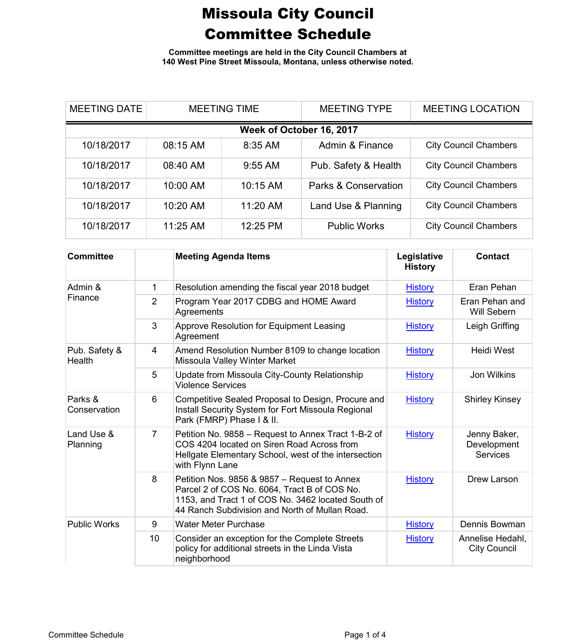**Committee meetings are held in the City Council Chambers at 140 West Pine Street Missoula, Montana, unless otherwise noted.**

| <b>MEETING DATE</b>      | <b>MEETING TIME</b> |           | <b>MEETING TYPE</b>             | <b>MEETING LOCATION</b>      |  |  |
|--------------------------|---------------------|-----------|---------------------------------|------------------------------|--|--|
| Week of October 16, 2017 |                     |           |                                 |                              |  |  |
| 10/18/2017               | 08:15 AM            | 8:35 AM   | Admin & Finance                 | <b>City Council Chambers</b> |  |  |
| 10/18/2017               | 08:40 AM            | $9:55$ AM | Pub. Safety & Health            | <b>City Council Chambers</b> |  |  |
| 10/18/2017               | 10:00 AM            | 10:15 AM  | <b>Parks &amp; Conservation</b> | <b>City Council Chambers</b> |  |  |
| 10/18/2017               | 10:20 AM            | 11:20 AM  | Land Use & Planning             | <b>City Council Chambers</b> |  |  |
| 10/18/2017               | 11:25 AM            | 12:25 PM  | <b>Public Works</b>             | <b>City Council Chambers</b> |  |  |

| <b>Committee</b>        |    | <b>Meeting Agenda Items</b>                                                                                                                                                                          | Legislative<br><b>History</b> | <b>Contact</b>                                 |
|-------------------------|----|------------------------------------------------------------------------------------------------------------------------------------------------------------------------------------------------------|-------------------------------|------------------------------------------------|
| Admin &<br>Finance      | 1  | Resolution amending the fiscal year 2018 budget                                                                                                                                                      | <b>History</b>                | Eran Pehan                                     |
|                         | 2  | Program Year 2017 CDBG and HOME Award<br>Agreements                                                                                                                                                  | <b>History</b>                | Eran Pehan and<br>Will Sebern                  |
|                         | 3  | Approve Resolution for Equipment Leasing<br>Agreement                                                                                                                                                | <b>History</b>                | Leigh Griffing                                 |
| Pub. Safety &<br>Health | 4  | Amend Resolution Number 8109 to change location<br>Missoula Valley Winter Market                                                                                                                     | <b>History</b>                | <b>Heidi West</b>                              |
|                         | 5  | Update from Missoula City-County Relationship<br><b>Violence Services</b>                                                                                                                            | <b>History</b>                | <b>Jon Wilkins</b>                             |
| Parks &<br>Conservation | 6  | Competitive Sealed Proposal to Design, Procure and<br>Install Security System for Fort Missoula Regional<br>Park (FMRP) Phase I & II.                                                                | <b>History</b>                | <b>Shirley Kinsey</b>                          |
| Land Use &<br>Planning  | 7  | Petition No. 9858 - Request to Annex Tract 1-B-2 of<br>COS 4204 located on Siren Road Across from<br>Hellgate Elementary School, west of the intersection<br>with Flynn Lane                         | <b>History</b>                | Jenny Baker,<br>Development<br><b>Services</b> |
|                         | 8  | Petition Nos. 9856 & 9857 - Request to Annex<br>Parcel 2 of COS No. 6064, Tract B of COS No.<br>1153, and Tract 1 of COS No. 3462 located South of<br>44 Ranch Subdivision and North of Mullan Road. | <b>History</b>                | Drew Larson                                    |
| <b>Public Works</b>     | 9  | <b>Water Meter Purchase</b>                                                                                                                                                                          | <b>History</b>                | Dennis Bowman                                  |
|                         | 10 | Consider an exception for the Complete Streets<br>policy for additional streets in the Linda Vista<br>neighborhood                                                                                   | <b>History</b>                | Annelise Hedahl,<br><b>City Council</b>        |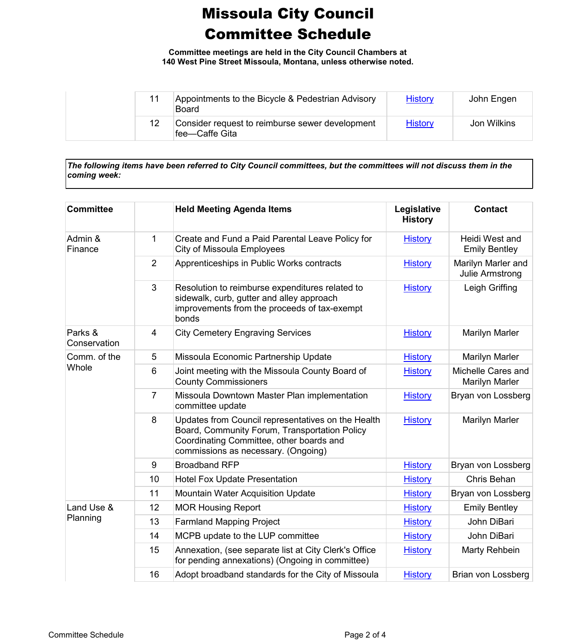**Committee meetings are held in the City Council Chambers at 140 West Pine Street Missoula, Montana, unless otherwise noted.**

| 11 | Appointments to the Bicycle & Pedestrian Advisory<br>Board         | <b>History</b> | John Engen  |
|----|--------------------------------------------------------------------|----------------|-------------|
| 12 | Consider request to reimburse sewer development<br>lfee—Caffe Gita | <b>History</b> | Jon Wilkins |

*The following items have been referred to City Council committees, but the committees will not discuss them in the coming week:*

| <b>Committee</b>        |                | <b>Held Meeting Agenda Items</b>                                                                                                                                                       | Legislative<br><b>History</b> | <b>Contact</b>                         |
|-------------------------|----------------|----------------------------------------------------------------------------------------------------------------------------------------------------------------------------------------|-------------------------------|----------------------------------------|
| Admin &<br>Finance      | 1              | Create and Fund a Paid Parental Leave Policy for<br>City of Missoula Employees                                                                                                         | <b>History</b>                | Heidi West and<br><b>Emily Bentley</b> |
|                         | $\overline{2}$ | Apprenticeships in Public Works contracts                                                                                                                                              | <b>History</b>                | Marilyn Marler and<br>Julie Armstrong  |
|                         | $\mathbf{3}$   | Resolution to reimburse expenditures related to<br>sidewalk, curb, gutter and alley approach<br>improvements from the proceeds of tax-exempt<br>bonds                                  | <b>History</b>                | Leigh Griffing                         |
| Parks &<br>Conservation | $\overline{4}$ | <b>City Cemetery Engraving Services</b>                                                                                                                                                | <b>History</b>                | <b>Marilyn Marler</b>                  |
| Comm. of the            | 5              | Missoula Economic Partnership Update                                                                                                                                                   | <b>History</b>                | Marilyn Marler                         |
| Whole                   | 6              | Joint meeting with the Missoula County Board of<br><b>County Commissioners</b>                                                                                                         | <b>History</b>                | Michelle Cares and<br>Marilyn Marler   |
|                         | $\overline{7}$ | Missoula Downtown Master Plan implementation<br>committee update                                                                                                                       | <b>History</b>                | Bryan von Lossberg                     |
|                         | 8              | Updates from Council representatives on the Health<br>Board, Community Forum, Transportation Policy<br>Coordinating Committee, other boards and<br>commissions as necessary. (Ongoing) | <b>History</b>                | Marilyn Marler                         |
|                         | 9              | <b>Broadband RFP</b>                                                                                                                                                                   | <b>History</b>                | Bryan von Lossberg                     |
|                         | 10             | <b>Hotel Fox Update Presentation</b>                                                                                                                                                   | <b>History</b>                | Chris Behan                            |
|                         | 11             | <b>Mountain Water Acquisition Update</b>                                                                                                                                               | <b>History</b>                | Bryan von Lossberg                     |
| Land Use &              | 12             | <b>MOR Housing Report</b>                                                                                                                                                              | <b>History</b>                | <b>Emily Bentley</b>                   |
| Planning                | 13             | <b>Farmland Mapping Project</b>                                                                                                                                                        | <b>History</b>                | John DiBari                            |
|                         | 14             | MCPB update to the LUP committee                                                                                                                                                       | <b>History</b>                | John DiBari                            |
|                         | 15             | Annexation, (see separate list at City Clerk's Office<br>for pending annexations) (Ongoing in committee)                                                                               | <b>History</b>                | Marty Rehbein                          |
|                         | 16             | Adopt broadband standards for the City of Missoula                                                                                                                                     | <b>History</b>                | Brian von Lossberg                     |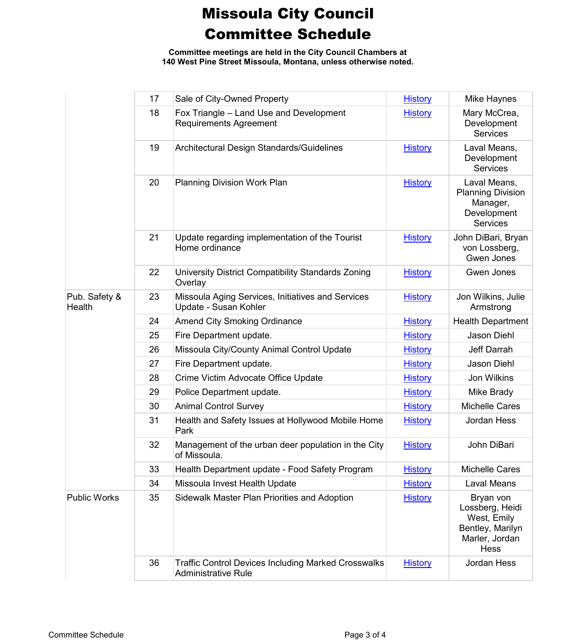**Committee meetings are held in the City Council Chambers at 140 West Pine Street Missoula, Montana, unless otherwise noted.**

|                         | 17 | Sale of City-Owned Property                                                              | <b>History</b> | Mike Haynes                                                                                      |
|-------------------------|----|------------------------------------------------------------------------------------------|----------------|--------------------------------------------------------------------------------------------------|
|                         | 18 | Fox Triangle - Land Use and Development<br><b>Requirements Agreement</b>                 | <b>History</b> | Mary McCrea,<br>Development<br><b>Services</b>                                                   |
|                         | 19 | Architectural Design Standards/Guidelines                                                | <b>History</b> | Laval Means,<br>Development<br><b>Services</b>                                                   |
|                         | 20 | Planning Division Work Plan                                                              | <b>History</b> | Laval Means,<br><b>Planning Division</b><br>Manager,<br>Development<br><b>Services</b>           |
|                         | 21 | Update regarding implementation of the Tourist<br>Home ordinance                         | <b>History</b> | John DiBari, Bryan<br>von Lossberg,<br>Gwen Jones                                                |
|                         | 22 | University District Compatibility Standards Zoning<br>Overlay                            | <b>History</b> | Gwen Jones                                                                                       |
| Pub. Safety &<br>Health | 23 | Missoula Aging Services, Initiatives and Services<br>Update - Susan Kohler               | <b>History</b> | Jon Wilkins, Julie<br>Armstrong                                                                  |
|                         | 24 | <b>Amend City Smoking Ordinance</b>                                                      | <b>History</b> | <b>Health Department</b>                                                                         |
|                         | 25 | Fire Department update.                                                                  | <b>History</b> | Jason Diehl                                                                                      |
|                         | 26 | Missoula City/County Animal Control Update                                               | <b>History</b> | Jeff Darrah                                                                                      |
|                         | 27 | Fire Department update.                                                                  | <b>History</b> | Jason Diehl                                                                                      |
|                         | 28 | Crime Victim Advocate Office Update                                                      | <b>History</b> | Jon Wilkins                                                                                      |
|                         | 29 | Police Department update.                                                                | <b>History</b> | Mike Brady                                                                                       |
|                         | 30 | <b>Animal Control Survey</b>                                                             | <b>History</b> | <b>Michelle Cares</b>                                                                            |
|                         | 31 | Health and Safety Issues at Hollywood Mobile Home<br>Park                                | <b>History</b> | Jordan Hess                                                                                      |
|                         | 32 | Management of the urban deer population in the City<br>of Missoula.                      | <b>History</b> | John DiBari                                                                                      |
|                         | 33 | Health Department update - Food Safety Program                                           | <b>History</b> | <b>Michelle Cares</b>                                                                            |
|                         | 34 | Missoula Invest Health Update                                                            | <b>History</b> | Laval Means                                                                                      |
| <b>Public Works</b>     | 35 | Sidewalk Master Plan Priorities and Adoption                                             | <b>History</b> | Bryan von<br>Lossberg, Heidi<br>West, Emily<br>Bentley, Marilyn<br>Marler, Jordan<br><b>Hess</b> |
|                         | 36 | <b>Traffic Control Devices Including Marked Crosswalks</b><br><b>Administrative Rule</b> | <b>History</b> | Jordan Hess                                                                                      |